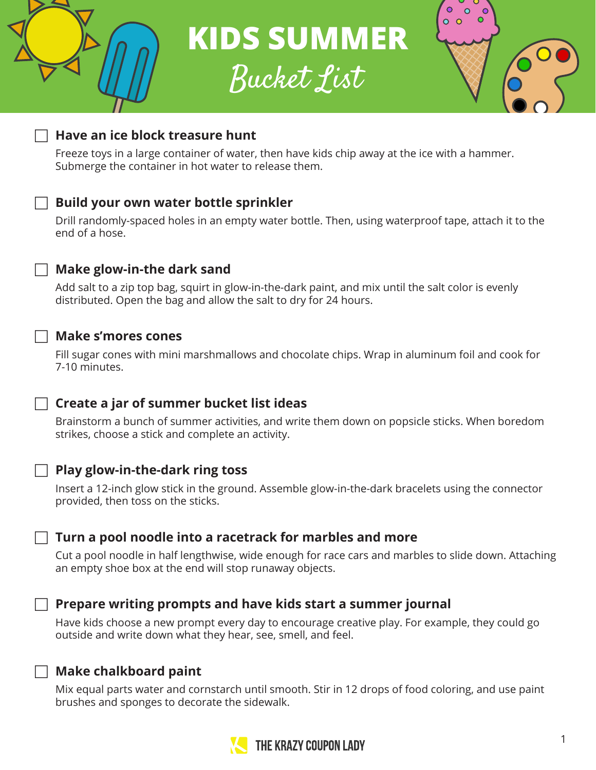

**KIDS SUMMER**

Bucket List



## F **Have an ice block treasure hunt**

Freeze toys in a large container of water, then have kids chip away at the ice with a hammer. Submerge the container in hot water to release them.

## F **Build your own water bottle sprinkler**

Drill randomly-spaced holes in an empty water bottle. Then, using waterproof tape, attach it to the end of a hose.

### Make glow-in-the dark sand

Add salt to a zip top bag, squirt in glow-in-the-dark paint, and mix until the salt color is evenly distributed. Open the bag and allow the salt to dry for 24 hours.

#### F **Make s'mores cones**

Fill sugar cones with mini marshmallows and chocolate chips. Wrap in aluminum foil and cook for 7-10 minutes.

### F **Create a jar of summer bucket list ideas**

Brainstorm a bunch of summer activities, and write them down on popsicle sticks. When boredom strikes, choose a stick and complete an activity.

#### **Play glow-in-the-dark ring toss**

Insert a 12-inch glow stick in the ground. Assemble glow-in-the-dark bracelets using the connector provided, then toss on the sticks.

### Turn a pool noodle into a racetrack for marbles and more

Cut a pool noodle in half lengthwise, wide enough for race cars and marbles to slide down. Attaching an empty shoe box at the end will stop runaway objects.



### F **Prepare writing prompts and have kids start a summer journal**

Have kids choose a new prompt every day to encourage creative play. For example, they could go outside and write down what they hear, see, smell, and feel.

### **Make chalkboard paint**

Mix equal parts water and cornstarch until smooth. Stir in 12 drops of food coloring, and use paint brushes and sponges to decorate the sidewalk.

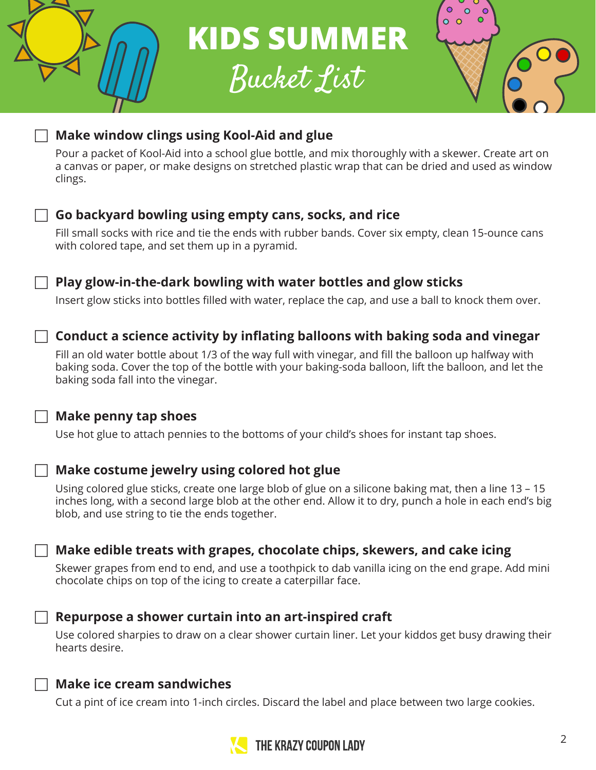**KIDS SUMMER** Bucket List





# F **Make window clings using Kool-Aid and glue**

Pour a packet of Kool-Aid into a school glue bottle, and mix thoroughly with a skewer. Create art on a canvas or paper, or make designs on stretched plastic wrap that can be dried and used as window



# F **Go backyard bowling using empty cans, socks, and rice**

Fill small socks with rice and tie the ends with rubber bands. Cover six empty, clean 15-ounce cans

## F **Play glow-in-the-dark bowling with water bottles and glow sticks**

Insert glow sticks into bottles filled with water, replace the cap, and use a ball to knock them over.

# F **Conduct a science activity by inflating balloons with baking soda and vinegar**

Fill an old water bottle about 1/3 of the way full with vinegar, and fill the balloon up halfway with baking soda. Cover the top of the bottle with your baking-soda balloon, lift the balloon, and let the

Use hot glue to attach pennies to the bottoms of your child's shoes for instant tap shoes.

## F **Make costume jewelry using colored hot glue**

Using colored glue sticks, create one large blob of glue on a silicone baking mat, then a line 13 – 15 inches long, with a second large blob at the other end. Allow it to dry, punch a hole in each end's big

## F **Make edible treats with grapes, chocolate chips, skewers, and cake icing**

Skewer grapes from end to end, and use a toothpick to dab vanilla icing on the end grape. Add mini chocolate chips on top of the icing to create a caterpillar face.

### F **Repurpose a shower curtain into an art-inspired craft**

Use colored sharpies to draw on a clear shower curtain liner. Let your kiddos get busy drawing their

Cut a pint of ice cream into 1-inch circles. Discard the label and place between two large cookies.